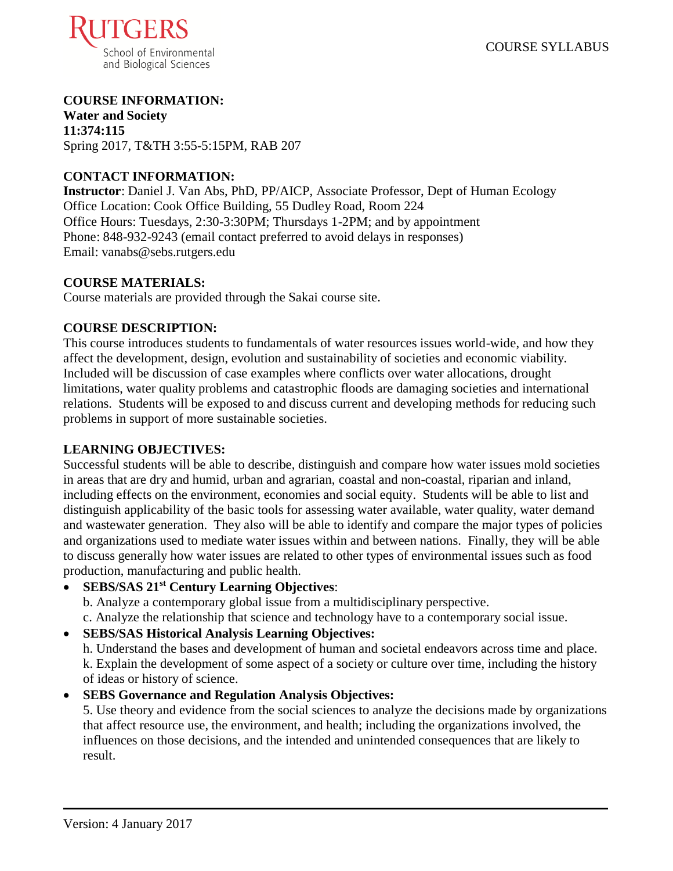

# **COURSE INFORMATION:**

**Water and Society 11:374:115** Spring 2017, T&TH 3:55-5:15PM, RAB 207

#### **CONTACT INFORMATION:**

**Instructor**: Daniel J. Van Abs, PhD, PP/AICP, Associate Professor, Dept of Human Ecology Office Location: Cook Office Building, 55 Dudley Road, Room 224 Office Hours: Tuesdays, 2:30-3:30PM; Thursdays 1-2PM; and by appointment Phone: 848-932-9243 (email contact preferred to avoid delays in responses) Email: vanabs@sebs.rutgers.edu

#### **COURSE MATERIALS:**

Course materials are provided through the Sakai course site.

#### **COURSE DESCRIPTION:**

This course introduces students to fundamentals of water resources issues world-wide, and how they affect the development, design, evolution and sustainability of societies and economic viability. Included will be discussion of case examples where conflicts over water allocations, drought limitations, water quality problems and catastrophic floods are damaging societies and international relations. Students will be exposed to and discuss current and developing methods for reducing such problems in support of more sustainable societies.

#### **LEARNING OBJECTIVES:**

Successful students will be able to describe, distinguish and compare how water issues mold societies in areas that are dry and humid, urban and agrarian, coastal and non-coastal, riparian and inland, including effects on the environment, economies and social equity. Students will be able to list and distinguish applicability of the basic tools for assessing water available, water quality, water demand and wastewater generation. They also will be able to identify and compare the major types of policies and organizations used to mediate water issues within and between nations. Finally, they will be able to discuss generally how water issues are related to other types of environmental issues such as food production, manufacturing and public health.

## **SEBS/SAS 21st Century Learning Objectives**:

b. Analyze a contemporary global issue from a multidisciplinary perspective. c. Analyze the relationship that science and technology have to a contemporary social issue.

#### **SEBS/SAS Historical Analysis Learning Objectives:**

h. Understand the bases and development of human and societal endeavors across time and place. k. Explain the development of some aspect of a society or culture over time, including the history of ideas or history of science.

#### **SEBS Governance and Regulation Analysis Objectives:**

5. Use theory and evidence from the social sciences to analyze the decisions made by organizations that affect resource use, the environment, and health; including the organizations involved, the influences on those decisions, and the intended and unintended consequences that are likely to result.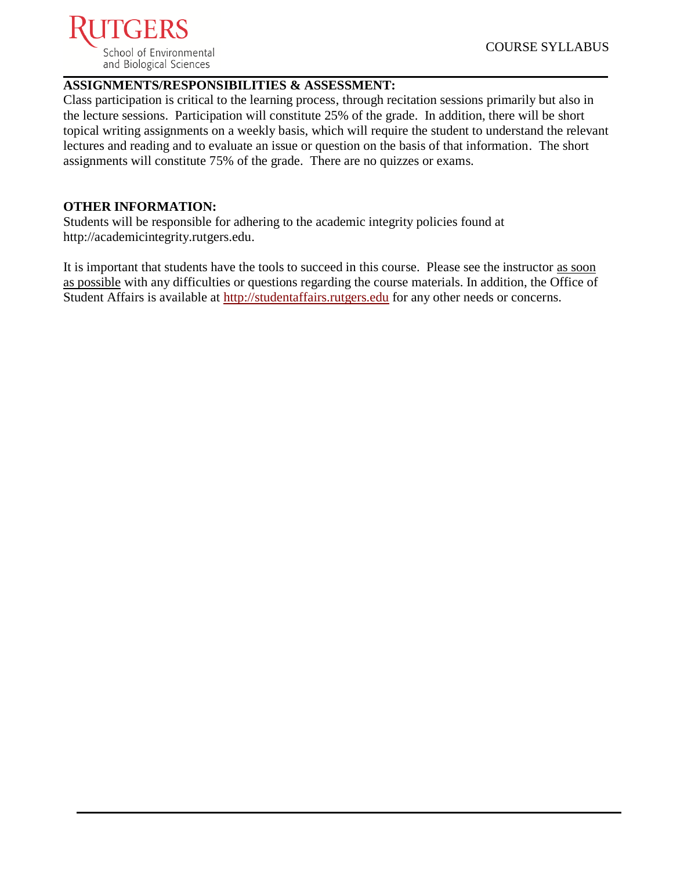

#### **ASSIGNMENTS/RESPONSIBILITIES & ASSESSMENT:**

Class participation is critical to the learning process, through recitation sessions primarily but also in the lecture sessions. Participation will constitute 25% of the grade. In addition, there will be short topical writing assignments on a weekly basis, which will require the student to understand the relevant lectures and reading and to evaluate an issue or question on the basis of that information. The short assignments will constitute 75% of the grade. There are no quizzes or exams.

#### **OTHER INFORMATION:**

Students will be responsible for adhering to the academic integrity policies found at http://academicintegrity.rutgers.edu.

It is important that students have the tools to succeed in this course. Please see the instructor as soon as possible with any difficulties or questions regarding the course materials. In addition, the Office of Student Affairs is available at [http://studentaffairs.rutgers.edu](http://studentaffairs.rutgers.edu/) for any other needs or concerns.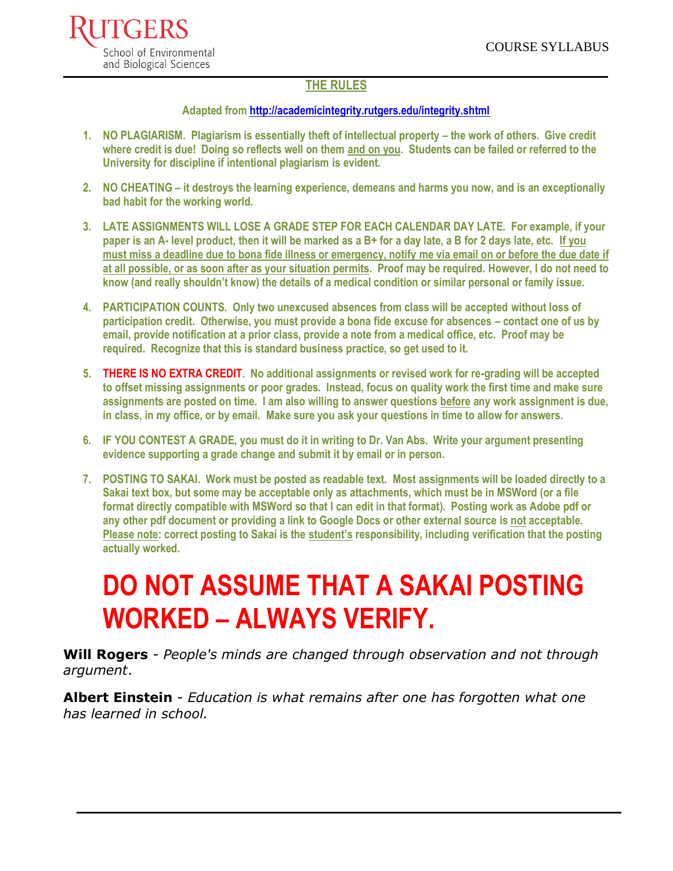

#### **THE RULES**

#### **Adapted from <http://academicintegrity.rutgers.edu/integrity.shtml>**

- **1. NO PLAGIARISM. Plagiarism is essentially theft of intellectual property – the work of others. Give credit where credit is due! Doing so reflects well on them and on you. Students can be failed or referred to the University for discipline if intentional plagiarism is evident.**
- **2. NO CHEATING – it destroys the learning experience, demeans and harms you now, and is an exceptionally bad habit for the working world.**
- **3. LATE ASSIGNMENTS WILL LOSE A GRADE STEP FOR EACH CALENDAR DAY LATE. For example, if your paper is an A- level product, then it will be marked as a B+ for a day late, a B for 2 days late, etc. If you must miss a deadline due to bona fide illness or emergency, notify me via email on or before the due date if at all possible, or as soon after as your situation permits. Proof may be required. However, I do not need to know (and really shouldn't know) the details of a medical condition or similar personal or family issue.**
- **4. PARTICIPATION COUNTS. Only two unexcused absences from class will be accepted without loss of participation credit. Otherwise, you must provide a bona fide excuse for absences – contact one of us by email, provide notification at a prior class, provide a note from a medical office, etc. Proof may be required. Recognize that this is standard business practice, so get used to it.**
- **5. THERE IS NO EXTRA CREDIT. No additional assignments or revised work for re-grading will be accepted to offset missing assignments or poor grades. Instead, focus on quality work the first time and make sure assignments are posted on time. I am also willing to answer questions before any work assignment is due, in class, in my office, or by email. Make sure you ask your questions in time to allow for answers.**
- **6. IF YOU CONTEST A GRADE, you must do it in writing to Dr. Van Abs. Write your argument presenting evidence supporting a grade change and submit it by email or in person.**
- **7. POSTING TO SAKAI. Work must be posted as readable text. Most assignments will be loaded directly to a Sakai text box, but some may be acceptable only as attachments, which must be in MSWord (or a file format directly compatible with MSWord so that I can edit in that format). Posting work as Adobe pdf or any other pdf document or providing a link to Google Docs or other external source is not acceptable. Please note: correct posting to Sakai is the student's responsibility, including verification that the posting actually worked.**

# **DO NOT ASSUME THAT A SAKAI POSTING WORKED – ALWAYS VERIFY.**

**Will Rogers** - *People's minds are changed through observation and not through argument*.

**Albert Einstein** - *Education is what remains after one has forgotten what one has learned in school.*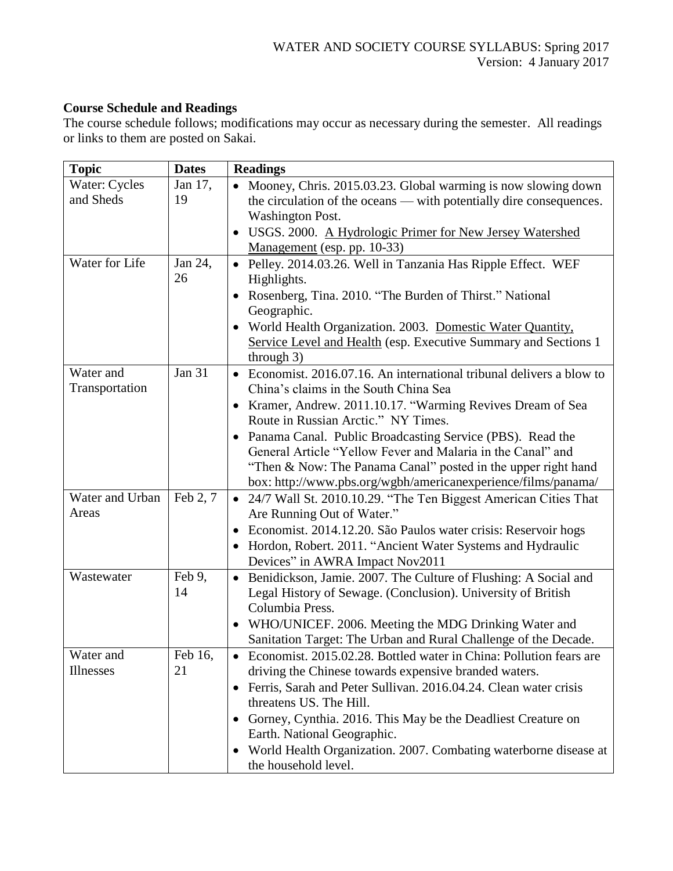## **Course Schedule and Readings**

The course schedule follows; modifications may occur as necessary during the semester. All readings or links to them are posted on Sakai.

| <b>Topic</b>             | <b>Dates</b>  | <b>Readings</b>                                                                                                                              |
|--------------------------|---------------|----------------------------------------------------------------------------------------------------------------------------------------------|
| Water: Cycles            | Jan 17,       | • Mooney, Chris. 2015.03.23. Global warming is now slowing down                                                                              |
| and Sheds                | 19            | the circulation of the oceans — with potentially dire consequences.                                                                          |
|                          |               | <b>Washington Post.</b>                                                                                                                      |
|                          |               | USGS. 2000. A Hydrologic Primer for New Jersey Watershed                                                                                     |
|                          |               | Management (esp. pp. 10-33)                                                                                                                  |
| Water for Life           | Jan 24,       | · Pelley. 2014.03.26. Well in Tanzania Has Ripple Effect. WEF                                                                                |
|                          | 26            | Highlights.                                                                                                                                  |
|                          |               | Rosenberg, Tina. 2010. "The Burden of Thirst." National<br>$\bullet$                                                                         |
|                          |               | Geographic.                                                                                                                                  |
|                          |               | World Health Organization. 2003. Domestic Water Quantity,<br>$\bullet$                                                                       |
|                          |               | Service Level and Health (esp. Executive Summary and Sections 1                                                                              |
|                          |               | through $3)$                                                                                                                                 |
| Water and                | <b>Jan 31</b> | Economist. 2016.07.16. An international tribunal delivers a blow to<br>$\bullet$                                                             |
| Transportation           |               | China's claims in the South China Sea                                                                                                        |
|                          |               | Kramer, Andrew. 2011.10.17. "Warming Revives Dream of Sea<br>$\bullet$                                                                       |
|                          |               | Route in Russian Arctic." NY Times.                                                                                                          |
|                          |               | • Panama Canal. Public Broadcasting Service (PBS). Read the                                                                                  |
|                          |               | General Article "Yellow Fever and Malaria in the Canal" and                                                                                  |
|                          |               | "Then & Now: The Panama Canal" posted in the upper right hand                                                                                |
|                          | Feb 2, 7      | box: http://www.pbs.org/wgbh/americanexperience/films/panama/                                                                                |
| Water and Urban<br>Areas |               | 24/7 Wall St. 2010.10.29. "The Ten Biggest American Cities That<br>$\bullet$<br>Are Running Out of Water."                                   |
|                          |               |                                                                                                                                              |
|                          |               | Economist. 2014.12.20. São Paulos water crisis: Reservoir hogs<br>$\bullet$                                                                  |
|                          |               | Hordon, Robert. 2011. "Ancient Water Systems and Hydraulic<br>$\bullet$<br>Devices" in AWRA Impact Nov2011                                   |
| Wastewater               | Feb 9,        |                                                                                                                                              |
|                          | 14            | Benidickson, Jamie. 2007. The Culture of Flushing: A Social and<br>$\bullet$<br>Legal History of Sewage. (Conclusion). University of British |
|                          |               | Columbia Press.                                                                                                                              |
|                          |               | WHO/UNICEF. 2006. Meeting the MDG Drinking Water and<br>$\bullet$                                                                            |
|                          |               | Sanitation Target: The Urban and Rural Challenge of the Decade.                                                                              |
| Water and                | Feb 16,       | • Economist. 2015.02.28. Bottled water in China: Pollution fears are                                                                         |
| <b>Illnesses</b>         | 21            | driving the Chinese towards expensive branded waters.                                                                                        |
|                          |               | Ferris, Sarah and Peter Sullivan. 2016.04.24. Clean water crisis<br>$\bullet$                                                                |
|                          |               | threatens US. The Hill.                                                                                                                      |
|                          |               | Gorney, Cynthia. 2016. This May be the Deadliest Creature on<br>$\bullet$                                                                    |
|                          |               | Earth. National Geographic.                                                                                                                  |
|                          |               | World Health Organization. 2007. Combating waterborne disease at<br>$\bullet$                                                                |
|                          |               | the household level.                                                                                                                         |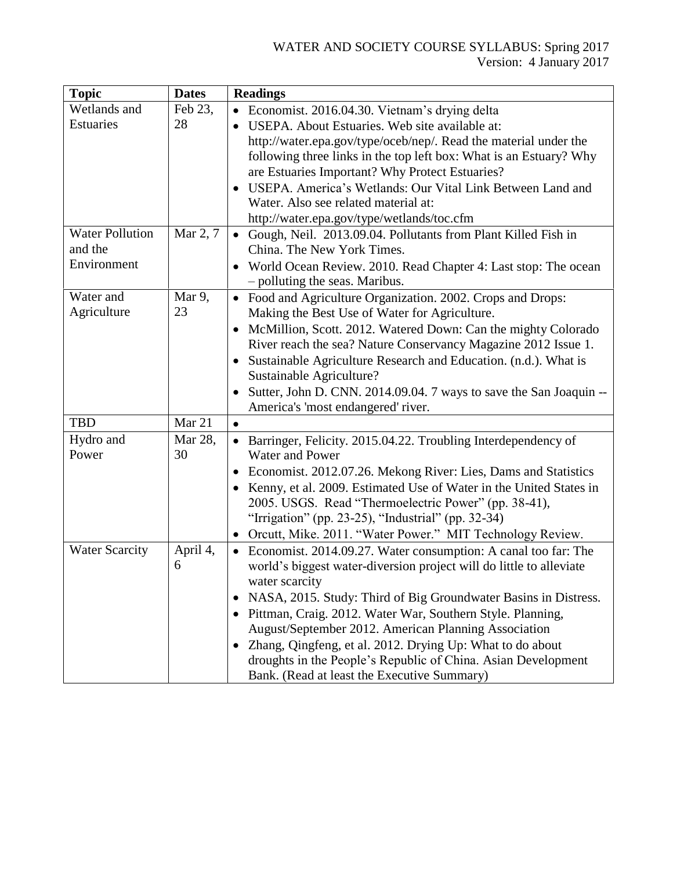#### WATER AND SOCIETY COURSE SYLLABUS: Spring 2017 Version: 4 January 2017

| <b>Topic</b>           | <b>Dates</b> | <b>Readings</b>                                                              |
|------------------------|--------------|------------------------------------------------------------------------------|
| Wetlands and           | Feb 23,      | Economist. 2016.04.30. Vietnam's drying delta                                |
| <b>Estuaries</b>       | 28           | USEPA. About Estuaries. Web site available at:                               |
|                        |              | http://water.epa.gov/type/oceb/nep/. Read the material under the             |
|                        |              | following three links in the top left box: What is an Estuary? Why           |
|                        |              | are Estuaries Important? Why Protect Estuaries?                              |
|                        |              | USEPA. America's Wetlands: Our Vital Link Between Land and<br>$\bullet$      |
|                        |              | Water. Also see related material at:                                         |
|                        |              | http://water.epa.gov/type/wetlands/toc.cfm                                   |
| <b>Water Pollution</b> | Mar 2, 7     | • Gough, Neil. 2013.09.04. Pollutants from Plant Killed Fish in              |
| and the                |              | China. The New York Times.                                                   |
| Environment            |              | World Ocean Review. 2010. Read Chapter 4: Last stop: The ocean<br>$\bullet$  |
|                        |              | - polluting the seas. Maribus.                                               |
| Water and              | Mar 9,       | Food and Agriculture Organization. 2002. Crops and Drops:<br>$\bullet$       |
| Agriculture            | 23           | Making the Best Use of Water for Agriculture.                                |
|                        |              | McMillion, Scott. 2012. Watered Down: Can the mighty Colorado                |
|                        |              | River reach the sea? Nature Conservancy Magazine 2012 Issue 1.               |
|                        |              | Sustainable Agriculture Research and Education. (n.d.). What is              |
|                        |              | Sustainable Agriculture?                                                     |
|                        |              | Sutter, John D. CNN. 2014.09.04. 7 ways to save the San Joaquin --           |
|                        |              | America's 'most endangered' river.                                           |
| <b>TBD</b>             | Mar 21       | $\bullet$                                                                    |
| Hydro and              | Mar 28,      | • Barringer, Felicity. 2015.04.22. Troubling Interdependency of              |
| Power                  | 30           | Water and Power                                                              |
|                        |              | Economist. 2012.07.26. Mekong River: Lies, Dams and Statistics<br>$\bullet$  |
|                        |              | Kenny, et al. 2009. Estimated Use of Water in the United States in           |
|                        |              | 2005. USGS. Read "Thermoelectric Power" (pp. 38-41),                         |
|                        |              | "Irrigation" (pp. 23-25), "Industrial" (pp. 32-34)                           |
|                        |              | Orcutt, Mike. 2011. "Water Power." MIT Technology Review.                    |
| <b>Water Scarcity</b>  | April 4,     | Economist. 2014.09.27. Water consumption: A canal too far: The<br>$\bullet$  |
|                        | 6            | world's biggest water-diversion project will do little to alleviate          |
|                        |              | water scarcity                                                               |
|                        |              | NASA, 2015. Study: Third of Big Groundwater Basins in Distress.<br>$\bullet$ |
|                        |              | Pittman, Craig. 2012. Water War, Southern Style. Planning,                   |
|                        |              | August/September 2012. American Planning Association                         |
|                        |              | Zhang, Qingfeng, et al. 2012. Drying Up: What to do about                    |
|                        |              | droughts in the People's Republic of China. Asian Development                |
|                        |              | Bank. (Read at least the Executive Summary)                                  |